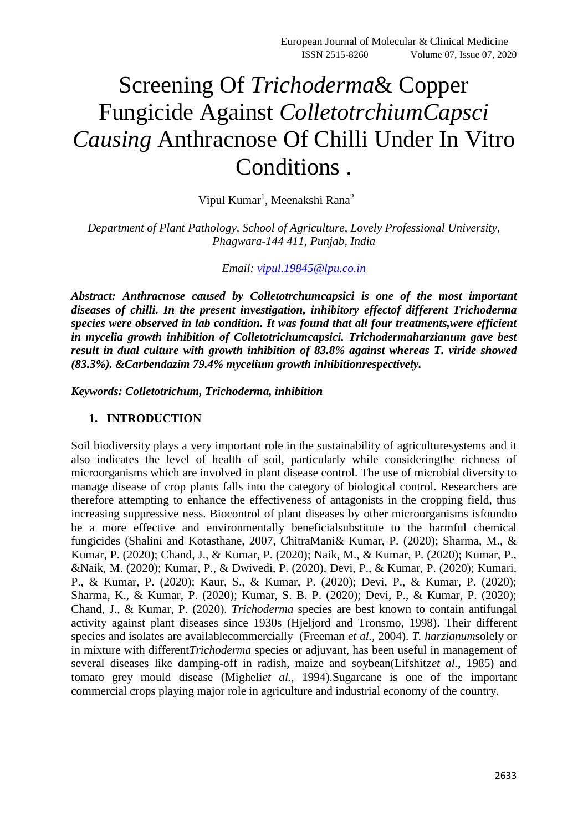# Screening Of *Trichoderma*& Copper Fungicide Against *ColletotrchiumCapsci Causing* Anthracnose Of Chilli Under In Vitro Conditions .

Vipul Kumar<sup>1</sup>, Meenakshi Rana<sup>2</sup>

*Department of Plant Pathology, School of Agriculture, Lovely Professional University, Phagwara-144 411, Punjab, India*

*Email: [vipul.19845@lpu.co.in](mailto:vipul.19845@lpu.co.in)*

*Abstract: Anthracnose caused by Colletotrchumcapsici is one of the most important diseases of chilli. In the present investigation, inhibitory effectof different Trichoderma species were observed in lab condition. It was found that all four treatments,were efficient in mycelia growth inhibition of Colletotrichumcapsici. Trichodermaharzianum gave best result in dual culture with growth inhibition of 83.8% against whereas T. viride showed (83.3%). &Carbendazim 79.4% mycelium growth inhibitionrespectively.*

*Keywords: Colletotrichum, Trichoderma, inhibition*

### **1. INTRODUCTION**

Soil biodiversity plays a very important role in the sustainability of agriculturesystems and it also indicates the level of health of soil, particularly while consideringthe richness of microorganisms which are involved in plant disease control. The use of microbial diversity to manage disease of crop plants falls into the category of biological control. Researchers are therefore attempting to enhance the effectiveness of antagonists in the cropping field, thus increasing suppressive ness. Biocontrol of plant diseases by other microorganisms isfoundto be a more effective and environmentally beneficialsubstitute to the harmful chemical fungicides (Shalini and Kotasthane, 2007, ChitraMani& Kumar, P. (2020); Sharma, M., & Kumar, P. (2020); Chand, J., & Kumar, P. (2020); Naik, M., & Kumar, P. (2020); Kumar, P., &Naik, M. (2020); Kumar, P., & Dwivedi, P. (2020), Devi, P., & Kumar, P. (2020); Kumari, P., & Kumar, P. (2020); Kaur, S., & Kumar, P. (2020); Devi, P., & Kumar, P. (2020); Sharma, K., & Kumar, P. (2020); Kumar, S. B. P. (2020); Devi, P., & Kumar, P. (2020); Chand, J., & Kumar, P. (2020). *Trichoderma* species are best known to contain antifungal activity against plant diseases since 1930s (Hjeljord and Tronsmo, 1998). Their different species and isolates are availablecommercially (Freeman *et al.,* 2004). *T. harzianum*solely or in mixture with different*Trichoderma* species or adjuvant, has been useful in management of several diseases like damping-off in radish, maize and soybean(Lifshitz*et al.,* 1985) and tomato grey mould disease (Migheli*et al.,* 1994).Sugarcane is one of the important commercial crops playing major role in agriculture and industrial economy of the country.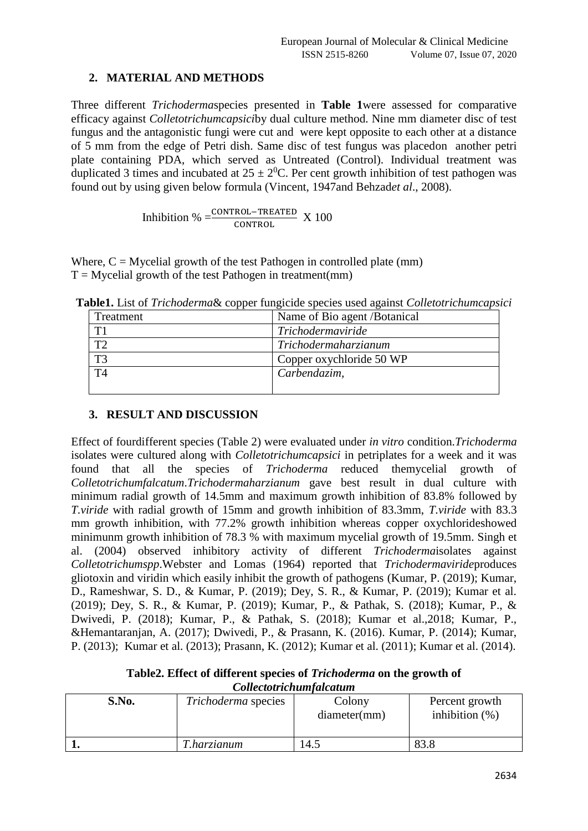## **2. MATERIAL AND METHODS**

Three different *Trichoderma*species presented in **Table 1**were assessed for comparative efficacy against *Colletotrichumcapsici*by dual culture method. Nine mm diameter disc of test fungus and the antagonistic fungi were cut and were kept opposite to each other at a distance of 5 mm from the edge of Petri dish. Same disc of test fungus was placedon another petri plate containing PDA, which served as Untreated (Control). Individual treatment was duplicated 3 times and incubated at  $25 \pm 2^{0}$ C. Per cent growth inhibition of test pathogen was found out by using given below formula (Vincent, 1947and Behzad*et al*., 2008).

Inhibition %  $=\frac{\text{CONTROL-TREATED}}{\text{CONTROL}}$  X 100

Where,  $C = M$ ycelial growth of the test Pathogen in controlled plate (mm)  $T = M$ ycelial growth of the test Pathogen in treatment(mm)

| Treatment      | Name of Bio agent / Botanical |
|----------------|-------------------------------|
| T1             | Trichodermaviride             |
| ፐን             | Trichodermaharzianum          |
| T <sub>3</sub> | Copper oxychloride 50 WP      |
| T <sub>4</sub> | Carbendazim,                  |
|                |                               |

**Table1.** List of *Trichoderma*& copper fungicide species used against *Colletotrichumcapsici*

## **3. RESULT AND DISCUSSION**

Effect of fourdifferent species (Table 2) were evaluated under *in vitro* condition.*Trichoderma* isolates were cultured along with *Colletotrichumcapsici* in petriplates for a week and it was found that all the species of *Trichoderma* reduced themycelial growth of *Colletotrichumfalcatum*.*Trichodermaharzianum* gave best result in dual culture with minimum radial growth of 14.5mm and maximum growth inhibition of 83.8% followed by *T.viride* with radial growth of 15mm and growth inhibition of 83.3mm, *T.viride* with 83.3 mm growth inhibition, with 77.2% growth inhibition whereas copper oxychlorideshowed minimunm growth inhibition of 78.3 % with maximum mycelial growth of 19.5mm. Singh et al. (2004) observed inhibitory activity of different *Trichoderma*isolates against *Colletotrichumspp*.Webster and Lomas (1964) reported that *Trichodermaviride*produces gliotoxin and viridin which easily inhibit the growth of pathogens (Kumar, P. (2019); Kumar, D., Rameshwar, S. D., & Kumar, P. (2019); Dey, S. R., & Kumar, P. (2019); Kumar et al. (2019); Dey, S. R., & Kumar, P. (2019); Kumar, P., & Pathak, S. (2018); Kumar, P., & Dwivedi, P. (2018); Kumar, P., & Pathak, S. (2018); Kumar et al.,2018; Kumar, P., &Hemantaranjan, A. (2017); Dwivedi, P., & Prasann, K. (2016). Kumar, P. (2014); Kumar, P. (2013); Kumar et al. (2013); Prasann, K. (2012); Kumar et al. (2011); Kumar et al. (2014).

**Table2. Effect of different species of** *Trichoderma* **on the growth of**  *Collectotrichumfalcatum*

| S.No. | Trichoderma species | Colony<br>diameter(mm) | Percent growth<br>inhibition $(\%)$ |
|-------|---------------------|------------------------|-------------------------------------|
|       | <i>T.harzianum</i>  | 14.5                   | 83.8                                |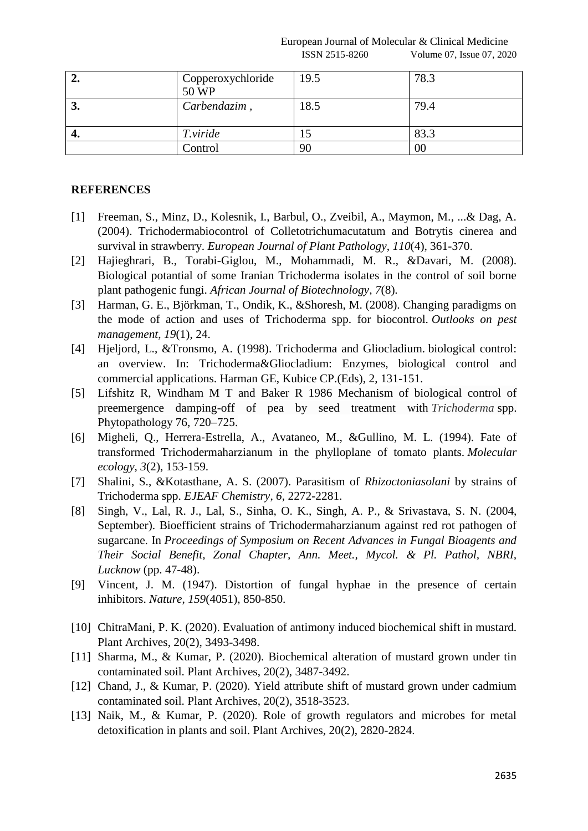European Journal of Molecular & Clinical Medicine ISSN 2515-8260 Volume 07, Issue 07, 2020

| ∠. | Copperoxychloride<br>50 WP | 19.5 | 78.3 |
|----|----------------------------|------|------|
| J. | Carbendazim,               | 18.5 | 79.4 |
| ┱. | T.viride                   |      | 83.3 |
|    | Control                    | 90   | 00   |

### **REFERENCES**

- [1] Freeman, S., Minz, D., Kolesnik, I., Barbul, O., Zveibil, A., Maymon, M., ...& Dag, A. (2004). Trichodermabiocontrol of Colletotrichumacutatum and Botrytis cinerea and survival in strawberry. *European Journal of Plant Pathology*, *110*(4), 361-370.
- [2] Hajieghrari, B., Torabi-Giglou, M., Mohammadi, M. R., &Davari, M. (2008). Biological potantial of some Iranian Trichoderma isolates in the control of soil borne plant pathogenic fungi. *African Journal of Biotechnology*, *7*(8).
- [3] Harman, G. E., Björkman, T., Ondik, K., &Shoresh, M. (2008). Changing paradigms on the mode of action and uses of Trichoderma spp. for biocontrol. *Outlooks on pest management*, *19*(1), 24.
- [4] Hjeljord, L., &Tronsmo, A. (1998). Trichoderma and Gliocladium. biological control: an overview. In: Trichoderma&Gliocladium: Enzymes, biological control and commercial applications. Harman GE, Kubice CP.(Eds), 2, 131-151.
- [5] Lifshitz R, Windham M T and Baker R 1986 Mechanism of biological control of preemergence damping-off of pea by seed treatment with *Trichoderma* spp. Phytopathology 76, 720–725.
- [6] Migheli, Q., Herrera‐Estrella, A., Avataneo, M., &Gullino, M. L. (1994). Fate of transformed Trichodermaharzianum in the phylloplane of tomato plants. *Molecular ecology*, *3*(2), 153-159.
- [7] Shalini, S., &Kotasthane, A. S. (2007). Parasitism of *Rhizoctoniasolani* by strains of Trichoderma spp. *EJEAF Chemistry*, *6*, 2272-2281.
- [8] Singh, V., Lal, R. J., Lal, S., Sinha, O. K., Singh, A. P., & Srivastava, S. N. (2004, September). Bioefficient strains of Trichodermaharzianum against red rot pathogen of sugarcane. In *Proceedings of Symposium on Recent Advances in Fungal Bioagents and Their Social Benefit, Zonal Chapter, Ann. Meet., Mycol. & Pl. Pathol, NBRI, Lucknow* (pp. 47-48).
- [9] Vincent, J. M. (1947). Distortion of fungal hyphae in the presence of certain inhibitors. *Nature*, *159*(4051), 850-850.
- [10] ChitraMani, P. K. (2020). Evaluation of antimony induced biochemical shift in mustard. Plant Archives, 20(2), 3493-3498.
- [11] Sharma, M., & Kumar, P. (2020). Biochemical alteration of mustard grown under tin contaminated soil. Plant Archives, 20(2), 3487-3492.
- [12] Chand, J., & Kumar, P. (2020). Yield attribute shift of mustard grown under cadmium contaminated soil. Plant Archives, 20(2), 3518-3523.
- [13] Naik, M., & Kumar, P. (2020). Role of growth regulators and microbes for metal detoxification in plants and soil. Plant Archives, 20(2), 2820-2824.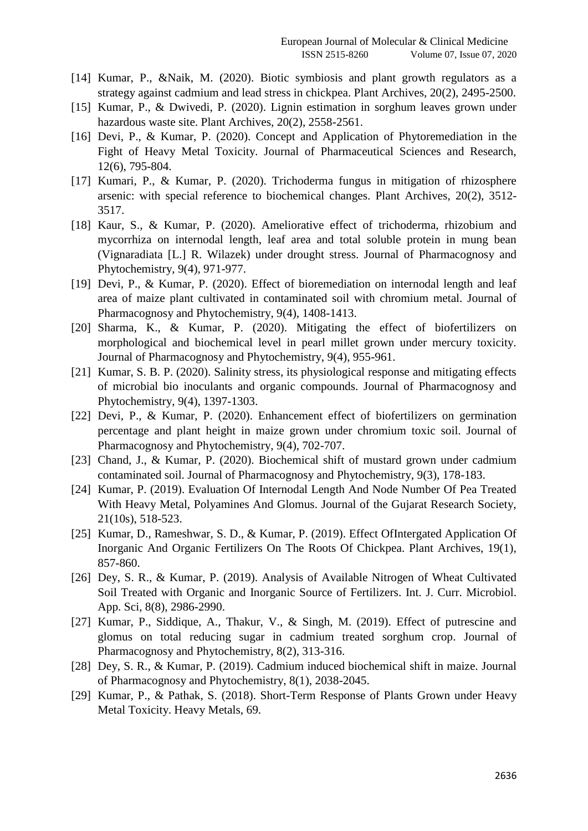- [14] Kumar, P., &Naik, M. (2020). Biotic symbiosis and plant growth regulators as a strategy against cadmium and lead stress in chickpea. Plant Archives, 20(2), 2495-2500.
- [15] Kumar, P., & Dwivedi, P. (2020). Lignin estimation in sorghum leaves grown under hazardous waste site. Plant Archives, 20(2), 2558-2561.
- [16] Devi, P., & Kumar, P. (2020). Concept and Application of Phytoremediation in the Fight of Heavy Metal Toxicity. Journal of Pharmaceutical Sciences and Research, 12(6), 795-804.
- [17] Kumari, P., & Kumar, P. (2020). Trichoderma fungus in mitigation of rhizosphere arsenic: with special reference to biochemical changes. Plant Archives, 20(2), 3512- 3517.
- [18] Kaur, S., & Kumar, P. (2020). Ameliorative effect of trichoderma, rhizobium and mycorrhiza on internodal length, leaf area and total soluble protein in mung bean (Vignaradiata [L.] R. Wilazek) under drought stress. Journal of Pharmacognosy and Phytochemistry, 9(4), 971-977.
- [19] Devi, P., & Kumar, P. (2020). Effect of bioremediation on internodal length and leaf area of maize plant cultivated in contaminated soil with chromium metal. Journal of Pharmacognosy and Phytochemistry, 9(4), 1408-1413.
- [20] Sharma, K., & Kumar, P. (2020). Mitigating the effect of biofertilizers on morphological and biochemical level in pearl millet grown under mercury toxicity. Journal of Pharmacognosy and Phytochemistry, 9(4), 955-961.
- [21] Kumar, S. B. P. (2020). Salinity stress, its physiological response and mitigating effects of microbial bio inoculants and organic compounds. Journal of Pharmacognosy and Phytochemistry, 9(4), 1397-1303.
- [22] Devi, P., & Kumar, P. (2020). Enhancement effect of biofertilizers on germination percentage and plant height in maize grown under chromium toxic soil. Journal of Pharmacognosy and Phytochemistry, 9(4), 702-707.
- [23] Chand, J., & Kumar, P. (2020). Biochemical shift of mustard grown under cadmium contaminated soil. Journal of Pharmacognosy and Phytochemistry, 9(3), 178-183.
- [24] Kumar, P. (2019). Evaluation Of Internodal Length And Node Number Of Pea Treated With Heavy Metal, Polyamines And Glomus. Journal of the Gujarat Research Society, 21(10s), 518-523.
- [25] Kumar, D., Rameshwar, S. D., & Kumar, P. (2019). Effect OfIntergated Application Of Inorganic And Organic Fertilizers On The Roots Of Chickpea. Plant Archives, 19(1), 857-860.
- [26] Dey, S. R., & Kumar, P. (2019). Analysis of Available Nitrogen of Wheat Cultivated Soil Treated with Organic and Inorganic Source of Fertilizers. Int. J. Curr. Microbiol. App. Sci, 8(8), 2986-2990.
- [27] Kumar, P., Siddique, A., Thakur, V., & Singh, M. (2019). Effect of putrescine and glomus on total reducing sugar in cadmium treated sorghum crop. Journal of Pharmacognosy and Phytochemistry, 8(2), 313-316.
- [28] Dey, S. R., & Kumar, P. (2019). Cadmium induced biochemical shift in maize. Journal of Pharmacognosy and Phytochemistry, 8(1), 2038-2045.
- [29] Kumar, P., & Pathak, S. (2018). Short-Term Response of Plants Grown under Heavy Metal Toxicity. Heavy Metals, 69.